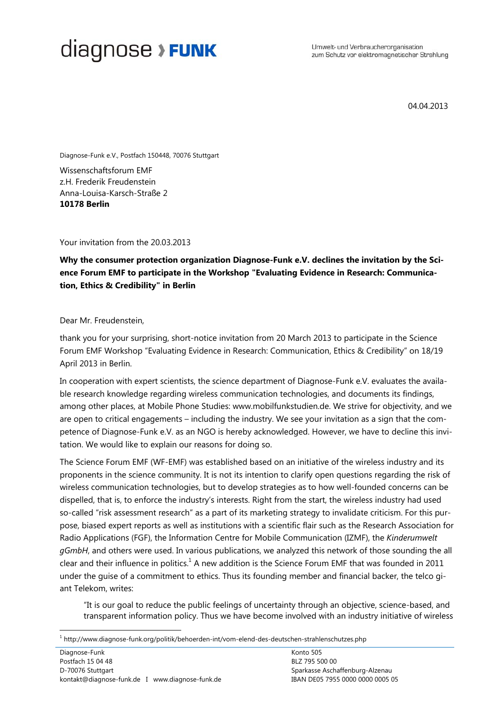Umwelt- und Verbraucherorganisation zum Schutz vor elektromagnetischer Strahlung

04.04.2013

Diagnose-Funk e.V., Postfach 150448, 70076 Stuttgart

Wissenschaftsforum EMF z.H. Frederik Freudenstein Anna-Louisa-Karsch-Straße 2 **10178 Berlin**

Your invitation from the 20.03.2013

**Why the consumer protection organization Diagnose-Funk e.V. declines the invitation by the Science Forum EMF to participate in the Workshop "Evaluating Evidence in Research: Communication, Ethics & Credibility" in Berlin** 

Dear Mr. Freudenstein,

thank you for your surprising, short-notice invitation from 20 March 2013 to participate in the Science Forum EMF Workshop "Evaluating Evidence in Research: Communication, Ethics & Credibility" on 18/19 April 2013 in Berlin.

In cooperation with expert scientists, the science department of Diagnose-Funk e.V. evaluates the available research knowledge regarding wireless communication technologies, and documents its findings, among other places, at Mobile Phone Studies: www.mobilfunkstudien.de. We strive for objectivity, and we are open to critical engagements – including the industry. We see your invitation as a sign that the competence of Diagnose-Funk e.V. as an NGO is hereby acknowledged. However, we have to decline this invitation. We would like to explain our reasons for doing so.

The Science Forum EMF (WF-EMF) was established based on an initiative of the wireless industry and its proponents in the science community. It is not its intention to clarify open questions regarding the risk of wireless communication technologies, but to develop strategies as to how well-founded concerns can be dispelled, that is, to enforce the industry's interests. Right from the start, the wireless industry had used so-called "risk assessment research" as a part of its marketing strategy to invalidate criticism. For this purpose, biased expert reports as well as institutions with a scientific flair such as the Research Association for Radio Applications (FGF), the Information Centre for Mobile Communication (IZMF), the *Kinderumwelt gGmbH*, and others were used. In various publications, we analyzed this network of those sounding the all clear and their influence in politics. $<sup>1</sup>$  A new addition is the Science Forum EMF that was founded in 2011</sup> under the guise of a commitment to ethics. Thus its founding member and financial backer, the telco giant Telekom, writes:

"It is our goal to reduce the public feelings of uncertainty through an objective, science-based, and transparent information policy. Thus we have become involved with an industry initiative of wireless

 $\overline{a}$ 

<sup>1</sup> http://www.diagnose-funk.org/politik/behoerden-int/vom-elend-des-deutschen-strahlenschutzes.php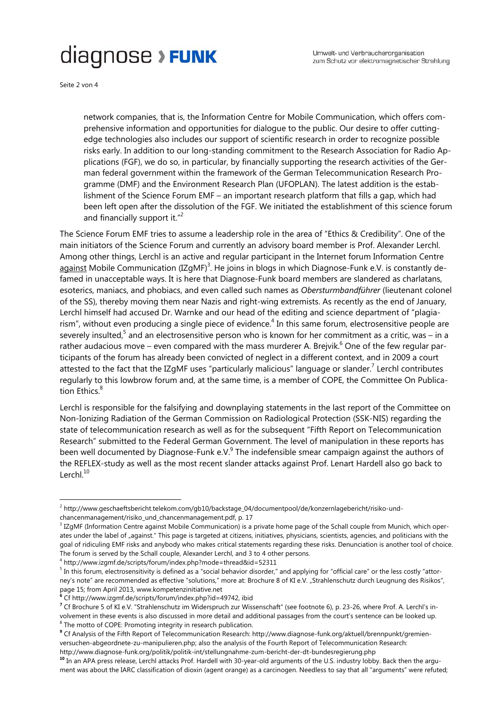Seite 2 von 4

-

network companies, that is, the Information Centre for Mobile Communication, which offers comprehensive information and opportunities for dialogue to the public. Our desire to offer cuttingedge technologies also includes our support of scientific research in order to recognize possible risks early. In addition to our long-standing commitment to the Research Association for Radio Applications (FGF), we do so, in particular, by financially supporting the research activities of the German federal government within the framework of the German Telecommunication Research Programme (DMF) and the Environment Research Plan (UFOPLAN). The latest addition is the establishment of the Science Forum EMF – an important research platform that fills a gap, which had been left open after the dissolution of the FGF. We initiated the establishment of this science forum and financially support it. $"^{2}$ 

The Science Forum EMF tries to assume a leadership role in the area of "Ethics & Credibility". One of the main initiators of the Science Forum and currently an advisory board member is Prof. Alexander Lerchl. Among other things, Lerchl is an active and regular participant in the Internet forum Information Centre against Mobile Communication (IZgMF)<sup>3</sup>. He joins in blogs in which Diagnose-Funk e.V. is constantly defamed in unacceptable ways. It is here that Diagnose-Funk board members are slandered as charlatans, esoterics, maniacs, and phobiacs, and even called such names as *Obersturmbandführer* (lieutenant colonel of the SS), thereby moving them near Nazis and right-wing extremists. As recently as the end of January, Lerchl himself had accused Dr. Warnke and our head of the editing and science department of "plagiarism", without even producing a single piece of evidence.<sup>4</sup> In this same forum, electrosensitive people are severely insulted,<sup>5</sup> and an electrosensitive person who is known for her commitment as a critic, was – in a rather audacious move – even compared with the mass murderer A. Brejvik.<sup>6</sup> One of the few regular participants of the forum has already been convicted of neglect in a different context, and in 2009 a court attested to the fact that the IZgMF uses "particularly malicious" language or slander.<sup>7</sup> Lerchl contributes regularly to this lowbrow forum and, at the same time, is a member of COPE, the Committee On Publication Ethics.<sup>8</sup>

Lerchl is responsible for the falsifying and downplaying statements in the last report of the Committee on Non-Ionizing Radiation of the German Commission on Radiological Protection (SSK-NIS) regarding the state of telecommunication research as well as for the subsequent "Fifth Report on Telecommunication Research" submitted to the Federal German Government. The level of manipulation in these reports has been well documented by Diagnose-Funk e.V. $9$  The indefensible smear campaign against the authors of the REFLEX-study as well as the most recent slander attacks against Prof. Lenart Hardell also go back to Lerchl. $10$ 

<sup>2</sup> http://www.geschaeftsbericht.telekom.com/gb10/backstage\_04/documentpool/de/konzernlagebericht/risiko-undchancenmanagement/risiko\_und\_chancenmanagement.pdf, p. 17

<sup>&</sup>lt;sup>3</sup> IZgMF (Information Centre against Mobile Communication) is a private home page of the Schall couple from Munich, which operates under the label of "against." This page is targeted at citizens, initiatives, physicians, scientists, agencies, and politicians with the goal of ridiculing EMF risks and anybody who makes critical statements regarding these risks. Denunciation is another tool of choice. The forum is served by the Schall couple, Alexander Lerchl, and 3 to 4 other persons.

<sup>&</sup>lt;sup>4</sup> http://www.izgmf.de/scripts/forum/index.php?mode=thread&id=52311<br><sup>5</sup> In this forum, electroconsitivity is defined as a "easial behavior disarder"

<sup>&</sup>lt;sup>5</sup> In this forum, electrosensitivity is defined as a "social behavior disorder," and applying for "official care" or the less costly "attorney's note" are recommended as effective "solutions," more at: Brochure 8 of KI e.V. "Strahlenschutz durch Leugnung des Risikos", page 15; from April 2013, www.kompetenzinitiative.net

**<sup>6</sup>** Cf http://www.izgmf.de/scripts/forum/index.php?id=49742, ibid

**<sup>7</sup>** Cf Brochure 5 of KI e.V. "Strahlenschutz im Widerspruch zur Wissenschaft" (see footnote 6), p. 23-26, where Prof. A. Lerchl's involvement in these events is also discussed in more detail and additional passages from the court's sentence can be looked up. <sup>8</sup> The motto of COPE: Promoting integrity in research publication.

**<sup>9</sup>** Cf Analysis of the Fifth Report of Telecommunication Research: http://www.diagnose-funk.org/aktuell/brennpunkt/gremienversuchen-abgeordnete-zu-manipulieren.php; also the analysis of the Fourth Report of Telecommunication Research:

http://www.diagnose-funk.org/politik/politik-int/stellungnahme-zum-bericht-der-dt-bundesregierung.php

**<sup>10</sup>** In an APA press release, Lerchl attacks Prof. Hardell with 30-year-old arguments of the U.S. industry lobby. Back then the argument was about the IARC classification of dioxin (agent orange) as a carcinogen. Needless to say that all "arguments" were refuted;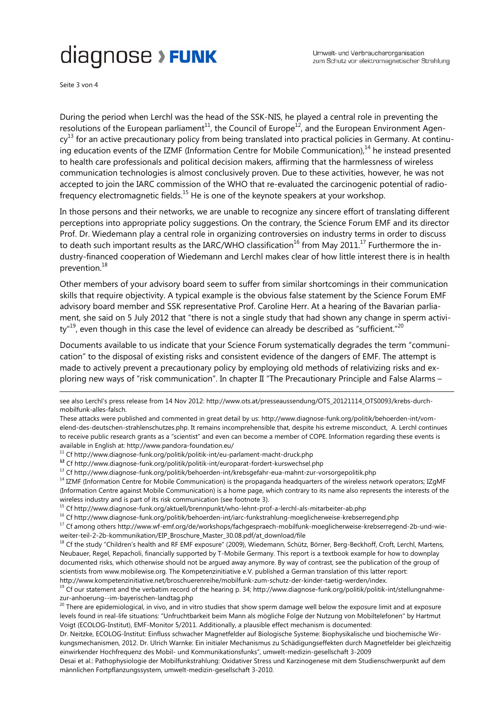Seite 3 von 4

-

During the period when Lerchl was the head of the SSK-NIS, he played a central role in preventing the resolutions of the European parliament<sup>11</sup>, the Council of Europe<sup>12</sup>, and the European Environment Agen $cy<sup>13</sup>$  for an active precautionary policy from being translated into practical policies in Germany. At continuing education events of the IZMF (Information Centre for Mobile Communication), $<sup>14</sup>$  he instead presented</sup> to health care professionals and political decision makers, affirming that the harmlessness of wireless communication technologies is almost conclusively proven. Due to these activities, however, he was not accepted to join the IARC commission of the WHO that re-evaluated the carcinogenic potential of radiofrequency electromagnetic fields.<sup>15</sup> He is one of the keynote speakers at your workshop.

In those persons and their networks, we are unable to recognize any sincere effort of translating different perceptions into appropriate policy suggestions. On the contrary, the Science Forum EMF and its director Prof. Dr. Wiedemann play a central role in organizing controversies on industry terms in order to discuss to death such important results as the IARC/WHO classification<sup>16</sup> from May 2011.<sup>17</sup> Furthermore the industry-financed cooperation of Wiedemann and Lerchl makes clear of how little interest there is in health prevention.<sup>18</sup>

Other members of your advisory board seem to suffer from similar shortcomings in their communication skills that require objectivity. A typical example is the obvious false statement by the Science Forum EMF advisory board member and SSK representative Prof. Caroline Herr. At a hearing of the Bavarian parliament, she said on 5 July 2012 that "there is not a single study that had shown any change in sperm activi $ty''^{19}$ , even though in this case the level of evidence can already be described as "sufficient."<sup>20</sup>

Documents available to us indicate that your Science Forum systematically degrades the term "communication" to the disposal of existing risks and consistent evidence of the dangers of EMF. The attempt is made to actively prevent a precautionary policy by employing old methods of relativizing risks and exploring new ways of "risk communication". In chapter II "The Precautionary Principle and False Alarms –

see also Lerchl's press release from 14 Nov 2012: http://www.ots.at/presseaussendung/OTS\_20121114\_OTS0093/krebs-durchmobilfunk-alles-falsch.

These attacks were published and commented in great detail by us: http://www.diagnose-funk.org/politik/behoerden-int/vomelend-des-deutschen-strahlenschutzes.php. It remains incomprehensible that, despite his extreme misconduct, A. Lerchl continues to receive public research grants as a "scientist" and even can become a member of COPE. Information regarding these events is available in English at: http://www.pandora-foundation.eu/<br><sup>11</sup> Cf http://www.diagnose-funk.org/politik/politik-int/eu-parlament-macht-druck.php<br><sup>12</sup> Cf http://www.diagnose-funk.org/politik/politik-int/europarat-fordert-ku

<sup>13</sup> Cf http://www.diagnose-funk.org/politik/behoerden-int/krebsgefahr-eua-mahnt-zur-vorsorgepolitik.php<br><sup>14</sup> IZMF (Information Centre for Mobile Communication) is the propaganda headquarters of the wireless network opera (Information Centre against Mobile Communication) is a home page, which contrary to its name also represents the interests of the wireless industry and is part of its risk communication (see footnote 3).

15 Cf http://www.diagnose-funk.org/aktuell/brennpunkt/who-lehnt-prof-a-lerchl-als-mitarbeiter-ab.php

16 Cf http://www.diagnose-funk.org/politik/behoerden-int/iarc-funkstrahlung-moeglicherweise-krebserregend.php

<sup>17</sup> Cf among others http://www.wf-emf.org/de/workshops/fachgespraech-mobilfunk-moeglicherweise-krebserregend-2b-und-wieweiter-teil-2-2b-kommunikation/EIP\_Broschure\_Master\_30.08.pdf/at\_download/file<br><sup>18</sup> Cf the study "Children's health and RF EMF exposure" (2009), Wiedemann, Schütz, Börner, Berg-Beckhoff, Croft, Lerchl, Martens,

Neubauer, Regel, Repacholi, financially supported by T-Mobile Germany. This report is a textbook example for how to downplay documented risks, which otherwise should not be argued away anymore. By way of contrast, see the publication of the group of scientists from www.mobilewise.org. The Kompetenzinitiative e.V. published a German translation of this latter report: http://www.kompetenzinitiative.net/broschuerenreihe/mobilfunk-zum-schutz-der-kinder-taetig-werden/index.

<sup>19</sup> Cf our statement and the verbatim record of the hearing p. 34; http://www.diagnose-funk.org/politik/politik-int/stellungnahmezur-anhoerung--im-bayerischen-landtag.php

<sup>20</sup> There are epidemiological, in vivo, and in vitro studies that show sperm damage well below the exposure limit and at exposure levels found in real-life situations: "Unfruchtbarkeit beim Mann als mögliche Folge der Nutzung von Mobiltelefonen" by Hartmut Voigt (ECOLOG-Institut), EMF-Monitor 5/2011. Additionally, a plausible effect mechanism is documented:

Dr. Neitzke, ECOLOG-Institut: Einfluss schwacher Magnetfelder auf Biologische Systeme: Biophysikalische und biochemische Wirkungsmechanismen, 2012. Dr. Ulrich Warnke: Ein initialer Mechanismus zu Schädigungseffekten durch Magnetfelder bei gleichzeitig einwirkender Hochfrequenz des Mobil- und Kommunikationsfunks", umwelt-medizin-gesellschaft 3-2009

Desai et al.: Pathophysiologie der Mobilfunkstrahlung: Oxidativer Stress und Karzinogenese mit dem Studienschwerpunkt auf dem männlichen Fortpflanzungssystem, umwelt-medizin-gesellschaft 3-2010.